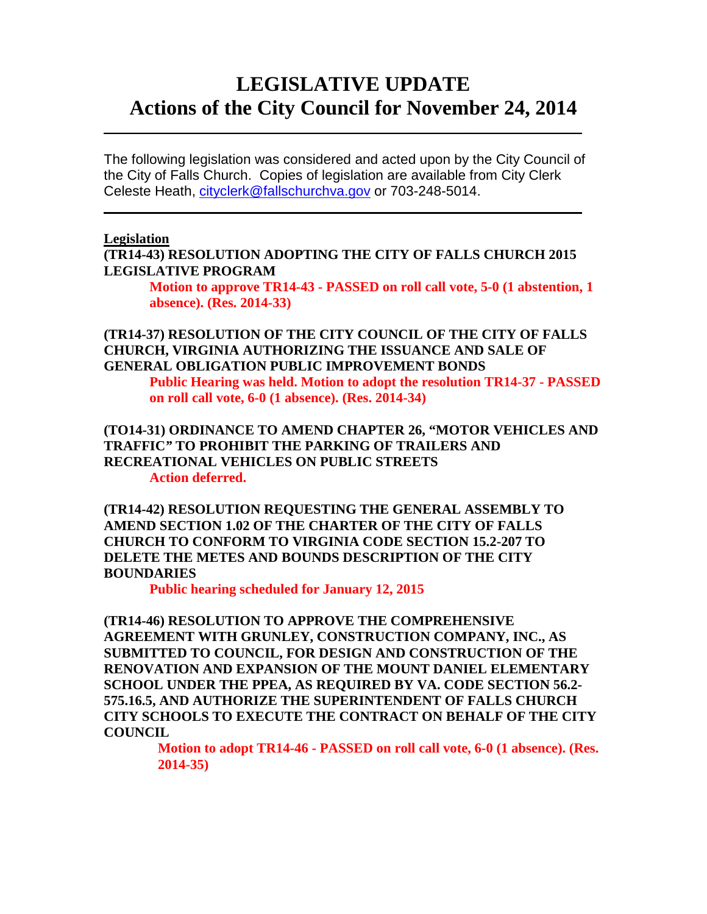## **LEGISLATIVE UPDATE Actions of the City Council for November 24, 2014**

The following legislation was considered and acted upon by the City Council of the City of Falls Church. Copies of legislation are available from City Clerk Celeste Heath, [cityclerk@fallschurchva.gov](mailto:cityclerk@fallschurchva.gov) or 703-248-5014.

 $\overline{\phantom{a}}$  , and the contract of the contract of the contract of the contract of the contract of the contract of the contract of the contract of the contract of the contract of the contract of the contract of the contrac

 $\frac{1}{2}$  ,  $\frac{1}{2}$  ,  $\frac{1}{2}$  ,  $\frac{1}{2}$  ,  $\frac{1}{2}$  ,  $\frac{1}{2}$  ,  $\frac{1}{2}$  ,  $\frac{1}{2}$  ,  $\frac{1}{2}$  ,  $\frac{1}{2}$  ,  $\frac{1}{2}$  ,  $\frac{1}{2}$  ,  $\frac{1}{2}$  ,  $\frac{1}{2}$  ,  $\frac{1}{2}$  ,  $\frac{1}{2}$  ,  $\frac{1}{2}$  ,  $\frac{1}{2}$  ,  $\frac{1$ 

#### **Legislation**

**(TR14-43) RESOLUTION ADOPTING THE CITY OF FALLS CHURCH 2015 LEGISLATIVE PROGRAM**

**Motion to approve TR14-43 - PASSED on roll call vote, 5-0 (1 abstention, 1 absence). (Res. 2014-33)**

#### **(TR14-37) RESOLUTION OF THE CITY COUNCIL OF THE CITY OF FALLS CHURCH, VIRGINIA AUTHORIZING THE ISSUANCE AND SALE OF GENERAL OBLIGATION PUBLIC IMPROVEMENT BONDS**

**Public Hearing was held. Motion to adopt the resolution TR14-37 - PASSED on roll call vote, 6-0 (1 absence). (Res. 2014-34)**

**(TO14-31) ORDINANCE TO AMEND CHAPTER 26, "MOTOR VEHICLES AND TRAFFIC***"* **TO PROHIBIT THE PARKING OF TRAILERS AND RECREATIONAL VEHICLES ON PUBLIC STREETS Action deferred.**

**(TR14-42) RESOLUTION REQUESTING THE GENERAL ASSEMBLY TO AMEND SECTION 1.02 OF THE CHARTER OF THE CITY OF FALLS CHURCH TO CONFORM TO VIRGINIA CODE SECTION 15.2-207 TO DELETE THE METES AND BOUNDS DESCRIPTION OF THE CITY BOUNDARIES**

**Public hearing scheduled for January 12, 2015**

**(TR14-46) RESOLUTION TO APPROVE THE COMPREHENSIVE AGREEMENT WITH GRUNLEY, CONSTRUCTION COMPANY, INC., AS SUBMITTED TO COUNCIL, FOR DESIGN AND CONSTRUCTION OF THE RENOVATION AND EXPANSION OF THE MOUNT DANIEL ELEMENTARY SCHOOL UNDER THE PPEA, AS REQUIRED BY VA. CODE SECTION 56.2- 575.16.5, AND AUTHORIZE THE SUPERINTENDENT OF FALLS CHURCH CITY SCHOOLS TO EXECUTE THE CONTRACT ON BEHALF OF THE CITY COUNCIL**

**Motion to adopt TR14-46 - PASSED on roll call vote, 6-0 (1 absence). (Res. 2014-35)**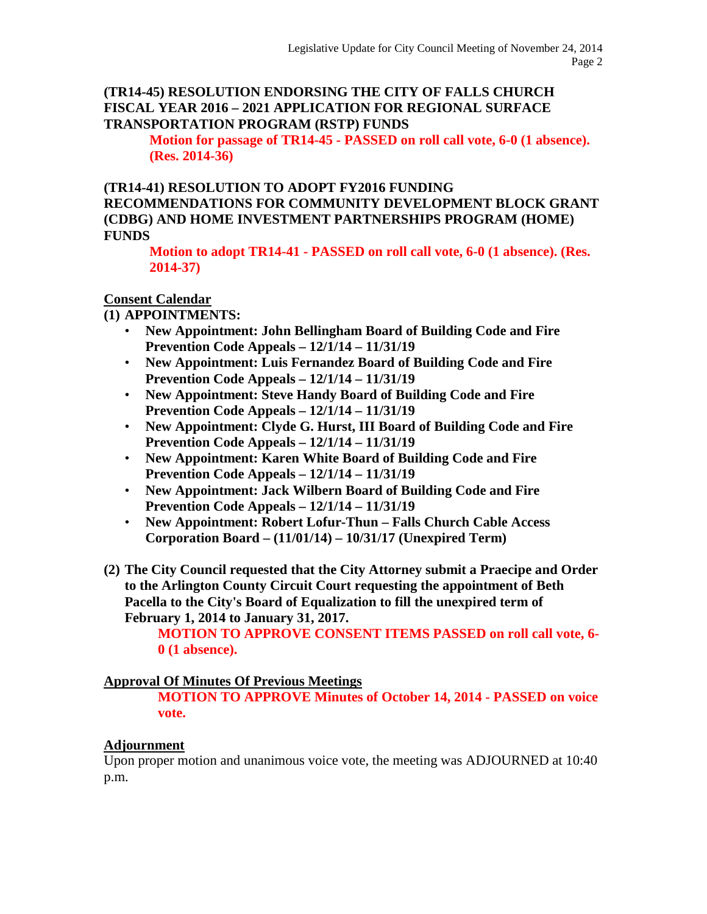### **(TR14-45) RESOLUTION ENDORSING THE CITY OF FALLS CHURCH FISCAL YEAR 2016 – 2021 APPLICATION FOR REGIONAL SURFACE TRANSPORTATION PROGRAM (RSTP) FUNDS**

**Motion for passage of TR14-45 - PASSED on roll call vote, 6-0 (1 absence). (Res. 2014-36)**

#### **(TR14-41) RESOLUTION TO ADOPT FY2016 FUNDING RECOMMENDATIONS FOR COMMUNITY DEVELOPMENT BLOCK GRANT (CDBG) AND HOME INVESTMENT PARTNERSHIPS PROGRAM (HOME) FUNDS**

**Motion to adopt TR14-41 - PASSED on roll call vote, 6-0 (1 absence). (Res. 2014-37)**

## **Consent Calendar**

### **(1) APPOINTMENTS:**

- **New Appointment: John Bellingham Board of Building Code and Fire Prevention Code Appeals – 12/1/14 – 11/31/19**
- **New Appointment: Luis Fernandez Board of Building Code and Fire Prevention Code Appeals – 12/1/14 – 11/31/19**
- **New Appointment: Steve Handy Board of Building Code and Fire Prevention Code Appeals – 12/1/14 – 11/31/19**
- **New Appointment: Clyde G. Hurst, III Board of Building Code and Fire Prevention Code Appeals – 12/1/14 – 11/31/19**
- **New Appointment: Karen White Board of Building Code and Fire Prevention Code Appeals – 12/1/14 – 11/31/19**
- **New Appointment: Jack Wilbern Board of Building Code and Fire Prevention Code Appeals – 12/1/14 – 11/31/19**
- **New Appointment: Robert Lofur-Thun – Falls Church Cable Access Corporation Board – (11/01/14) – 10/31/17 (Unexpired Term)**
- **(2) The City Council requested that the City Attorney submit a Praecipe and Order to the Arlington County Circuit Court requesting the appointment of Beth Pacella to the City's Board of Equalization to fill the unexpired term of February 1, 2014 to January 31, 2017.**

**MOTION TO APPROVE CONSENT ITEMS PASSED on roll call vote, 6- 0 (1 absence).** 

### **Approval Of Minutes Of Previous Meetings**

**MOTION TO APPROVE Minutes of October 14, 2014 - PASSED on voice vote.**

### **Adjournment**

Upon proper motion and unanimous voice vote, the meeting was ADJOURNED at 10:40 p.m.